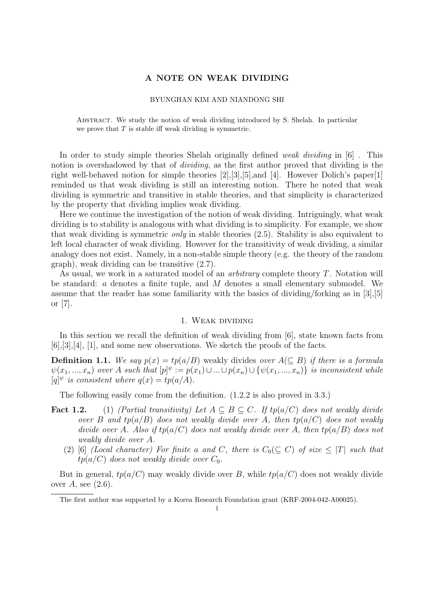# A NOTE ON WEAK DIVIDING

### BYUNGHAN KIM AND NIANDONG SHI

Abstract. We study the notion of weak dividing introduced by S. Shelah. In particular we prove that  $T$  is stable iff weak dividing is symmetric.

In order to study simple theories Shelah originally defined weak dividing in [6]. This notion is overshadowed by that of *dividing*, as the first author proved that dividing is the right well-behaved notion for simple theories [2],[3],[5],and [4]. However Dolich's paper[1] reminded us that weak dividing is still an interesting notion. There he noted that weak dividing is symmetric and transitive in stable theories, and that simplicity is characterized by the property that dividing implies weak dividing.

Here we continue the investigation of the notion of weak dividing. Intriguingly, what weak dividing is to stability is analogous with what dividing is to simplicity. For example, we show that weak dividing is symmetric *only* in stable theories  $(2.5)$ . Stability is also equivalent to left local character of weak dividing. However for the transitivity of weak dividing, a similar analogy does not exist. Namely, in a non-stable simple theory (e.g. the theory of the random graph), weak dividing can be transitive (2.7).

As usual, we work in a saturated model of an *arbitrary* complete theory T. Notation will be standard: a denotes a finite tuple, and M denotes a small elementary submodel. We assume that the reader has some familiarity with the basics of dividing/forking as in [3],[5] or [7].

#### 1. Weak dividing

In this section we recall the definition of weak dividing from [6], state known facts from [6],[3],[4], [1], and some new observations. We sketch the proofs of the facts.

**Definition 1.1.** We say  $p(x) = tp(a/B)$  weakly divides over  $A(\subseteq B)$  if there is a formula  $\psi(x_1, ..., x_n)$  over A such that  $[p]^\psi := p(x_1) \cup ... \cup p(x_n) \cup \{\psi(x_1, ..., x_n)\}\$ is inconsistent while  $[q]^{\psi}$  is consistent where  $q(x) = tp(a/A)$ .

The following easily come from the definition. (1.2.2 is also proved in 3.3.)

- **Fact 1.2.** (1) (Partial transitivity) Let  $A \subseteq B \subseteq C$ . If tp(a/C) does not weakly divide over B and  $tp(a/B)$  does not weakly divide over A, then  $tp(a/C)$  does not weakly divide over A. Also if  $tp(a/C)$  does not weakly divide over A, then  $tp(a/B)$  does not weakly divide over A.
	- (2) [6] (Local character) For finite a and C, there is  $C_0(\subseteq C)$  of size  $\leq |T|$  such that  $tp(a/C)$  does not weakly divide over  $C_0$ .

But in general,  $tp(a/C)$  may weakly divide over B, while  $tp(a/C)$  does not weakly divide over  $A$ , see  $(2.6)$ .

The first author was supported by a Korea Research Foundation grant (KRF-2004-042-A00025).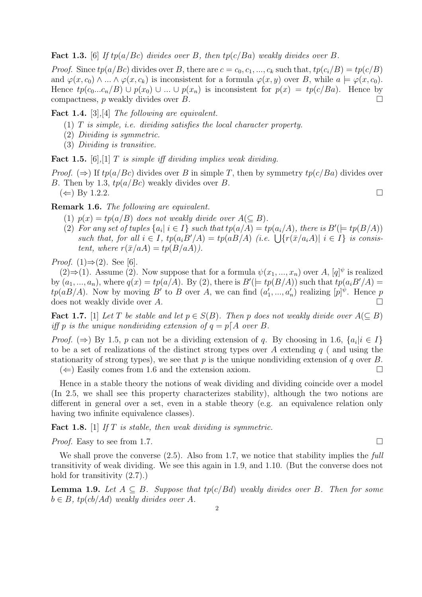**Fact 1.3.** [6] If tp(a/Bc) divides over B, then tp(c/Ba) weakly divides over B.

*Proof.* Since  $tp(a/BC)$  divides over B, there are  $c = c_0, c_1, ..., c_k$  such that,  $tp(c_i/B) = tp(c/B)$ and  $\varphi(x, c_0) \wedge ... \wedge \varphi(x, c_k)$  is inconsistent for a formula  $\varphi(x, y)$  over B, while  $a \models \varphi(x, c_0)$ . Hence  $tp(c_0...c_n/B) \cup p(x_0) \cup ... \cup p(x_n)$  is inconsistent for  $p(x) = tp(c/Ba)$ . Hence by compactness, p weakly divides over B.  $\Box$ 

Fact 1.4. [3], [4] The following are equivalent.

- $(1)$  T is simple, i.e. dividing satisfies the local character property.
- (2) Dividing is symmetric.
- (3) Dividing is transitive.

**Fact 1.5.** [6], [1]  $T$  is simple iff dividing implies weak dividing.

*Proof.* ( $\Rightarrow$ ) If tp(a/Bc) divides over B in simple T, then by symmetry tp(c/Ba) divides over B. Then by 1.3,  $tp(a/Be)$  weakly divides over B.

 $(\Leftarrow)$  By 1.2.2.

Remark 1.6. The following are equivalent.

- (1)  $p(x) = tp(a/B)$  does not weakly divide over  $A(\subseteq B)$ .
- (2) For any set of tuples  $\{a_i | i \in I\}$  such that  $tp(a/A) = tp(a_i/A)$ , there is  $B'(\models tp(B/A))$ For any set of tuples  $\{a_i | i \in I\}$  such that  $tp(a/A) = tp(a_i/A)$ , there is  $B \in tp(B/A)$ <br>such that, for all  $i \in I$ ,  $tp(a_iB'/A) = tp(aB/A)$  (i.e.  $\bigcup \{r(\bar{x}/a_iA) | i \in I\}$  is consistent, where  $r(\bar{x}/aA) = tp(B/aA)).$

*Proof.*  $(1) \Rightarrow (2)$ . See [6].

 $(2)$  ⇒ (1). Assume (2). Now suppose that for a formula  $\psi(x_1, ..., x_n)$  over A,  $[q]$ <sup> $\psi$ </sup> is realized by  $(a_1, ..., a_n)$ , where  $q(x) = tp(a/A)$ . By (2), there is  $B'(\models tp(B/A))$  such that  $tp(a_iB'/A)$  $tp(aB/A)$ . Now by moving B' to B over A, we can find  $(a'_1, ..., a'_n)$  realizing  $[p]$ <sup> $\psi$ </sup>. Hence p does not weakly divide over A.  $\Box$ 

Fact 1.7. [1] Let T be stable and let  $p \in S(B)$ . Then p does not weakly divide over  $A(\subseteq B)$ iff p is the unique nondividing extension of  $q = p[A]$  over B.

*Proof.* ( $\Rightarrow$ ) By 1.5, p can not be a dividing extension of q. By choosing in 1.6,  $\{a_i | i \in I\}$ to be a set of realizations of the distinct strong types over A extending  $q$  ( and using the stationarity of strong types), we see that  $p$  is the unique nondividing extension of  $q$  over  $B$ .  $(\Leftarrow)$  Easily comes from 1.6 and the extension axiom.

Hence in a stable theory the notions of weak dividing and dividing coincide over a model (In 2.5, we shall see this property characterizes stability), although the two notions are different in general over a set, even in a stable theory (e.g. an equivalence relation only having two infinite equivalence classes).

**Fact 1.8.** [1] If T is stable, then weak dividing is symmetric.

*Proof.* Easy to see from 1.7.  $\Box$ 

We shall prove the converse  $(2.5)$ . Also from 1.7, we notice that stability implies the full transitivity of weak dividing. We see this again in 1.9, and 1.10. (But the converse does not hold for transitivity  $(2.7)$ .

**Lemma 1.9.** Let  $A \subseteq B$ . Suppose that  $tp(c/Bd)$  weakly divides over B. Then for some  $b \in B$ , tp(cb/Ad) weakly divides over A.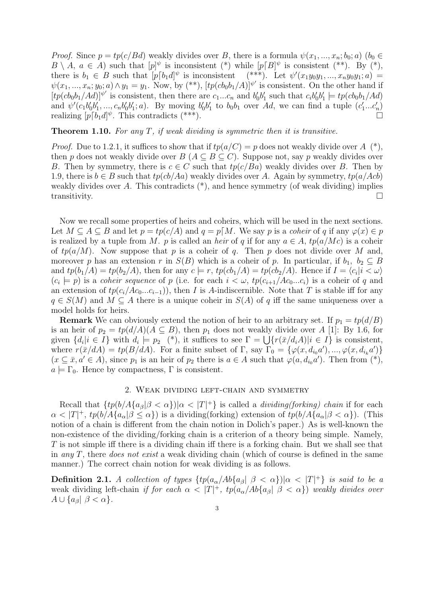*Proof.* Since  $p = tp(c/Bd)$  weakly divides over B, there is a formula  $\psi(x_1, ..., x_n; b_0; a)$   $(b_0 \in$  $B \setminus A, a \in A$ ) such that  $[p]^\psi$  is inconsistent (\*) while  $[p]B]^\psi$  is consistent (\*\*). By (\*), there is  $b_1 \in B$  such that  $[p[b_1 d]^{\psi}$  is inconsistent  $(*^{**})$ . Let  $\psi'(x_1y_0y_1, ..., x_ny_0y_1; a)$  $\psi(x_1, ..., x_n; y_0; a) \wedge y_1 = y_1$ . Now, by  $(*^*)$ ,  $[tp(cb_0b_1/A)]^{\psi'}$  is consistent. On the other hand if  $[tp(cb_0b_1/Ad)]^{\psi'}$  is consistent, then there are  $c_1...c_n$  and  $b'_0b'_1$  such that  $c_ib'_0b'_1 \models tp(cb_0b_1/Ad)$ and  $\psi'(c_1b'_0b'_1,...,c_nb'_0b'_1; a)$ . By moving  $b'_0b'_1$  to  $b_0b_1$  over Ad, we can find a tuple  $(c'_1...c'_n)$ realizing  $[p[b_1 d]^{\psi}$ . This contradicts (\*\*\*).

### **Theorem 1.10.** For any T, if weak dividing is symmetric then it is transitive.

*Proof.* Due to 1.2.1, it suffices to show that if  $tp(a/C) = p$  does not weakly divide over  $A^{(*)}$ , then p does not weakly divide over  $B(A \subseteq B \subseteq C)$ . Suppose not, say p weakly divides over B. Then by symmetry, there is  $c \in C$  such that  $tp(c/Ba)$  weakly divides over B. Then by 1.9, there is  $b \in B$  such that  $tp(cb/Aa)$  weakly divides over A. Again by symmetry,  $tp(a/Acb)$ weakly divides over A. This contradicts  $(*)$ , and hence symmetry (of weak dividing) implies transitivity.

Now we recall some properties of heirs and coheirs, which will be used in the next sections. Let  $M \subseteq A \subseteq B$  and let  $p = tp(c/A)$  and  $q = p[M]$ . We say p is a coheir of q if any  $\varphi(x) \in p$ is realized by a tuple from M. p is called an heir of q if for any  $a \in A$ ,  $tp(a/Mc)$  is a coheir of  $tp(a/M)$ . Now suppose that p is a coheir of q. Then p does not divide over M and, moreover p has an extension r in  $S(B)$  which is a coheir of p. In particular, if  $b_1, b_2 \subseteq B$ and  $tp(b_1/A) = tp(b_2/A)$ , then for any  $c \models r$ ,  $tp(cb_1/A) = tp(cb_2/A)$ . Hence if  $I = \langle c_i | i < \omega \rangle$  $(c_i \models p)$  is a coheir sequence of p (i.e. for each  $i < \omega$ ,  $tp(c_{i+1}/Ac_0...c_i)$  is a coheir of q and an extension of  $tp(c_i/Ac_0...c_{i-1})$ , then I is A-indiscernible. Note that T is stable iff for any  $q \in S(M)$  and  $M \subseteq A$  there is a unique coheir in  $S(A)$  of q iff the same uniqueness over a model holds for heirs.

**Remark** We can obviously extend the notion of heir to an arbitrary set. If  $p_1 = tp(d/B)$ is an heir of  $p_2 = tp(d/A)(A \subseteq B)$ , then  $p_1$  does not weakly divide over A [1]: By 1.6, for is an neir or  $p_2 = tp(a/A)(A \subseteq B)$ , then  $p_1$  does not weakly divide over A [1]: By 1.0, for given  $\{d_i | i \in I\}$  with  $d_i \models p_2$  (\*), it suffices to see  $\Gamma = \bigcup \{r(\bar{x}/d_iA)|i \in I\}$  is consistent, where  $r(\bar{x}/dA) = tp(B/dA)$ . For a finite subset of  $\Gamma$ , say  $\Gamma_0 = \{ \varphi(x, d_{i_0}a'), ..., \varphi(x, d_{i_k}a') \}$  $(x \subseteq \bar{x}, a' \in A)$ , since  $p_1$  is an heir of  $p_2$  there is  $a \in A$  such that  $\varphi(a, d_{i_0}a')$ . Then from  $(*)$ ,  $a \models \Gamma_0$ . Hence by compactness,  $\Gamma$  is consistent.

### 2. Weak dividing left-chain and symmetry

Recall that  $\{tp(b/A\{a_\beta|\beta<\alpha\})|\alpha<|T|^+\}$  is called a *dividing(forking)* chain if for each  $\alpha < |T|^+$ ,  $tp(b/A{a_{\alpha}|\beta \leq \alpha})$  is a dividing(forking) extension of  $tp(b/A{a_{\alpha}|\beta < \alpha})$ . (This notion of a chain is different from the chain notion in Dolich's paper.) As is well-known the non-existence of the dividing/forking chain is a criterion of a theory being simple. Namely, T is not simple iff there is a dividing chain iff there is a forking chain. But we shall see that in any T, there *does not exist* a weak dividing chain (which of course is defined in the same manner.) The correct chain notion for weak dividing is as follows.

**Definition 2.1.** A collection of types  $\{tp(a_{\alpha}/Ab\{a_{\beta}\} | \beta < \alpha\})|\alpha < |T|^{+}\}\$ is said to be a weak dividing left-chain if for each  $\alpha < |T|^+$ ,  $tp(a_{\alpha}/Ab{a_{\beta}} | \beta < \alpha)$  weakly divides over  $A \cup \{a_{\beta} | \beta < \alpha\}.$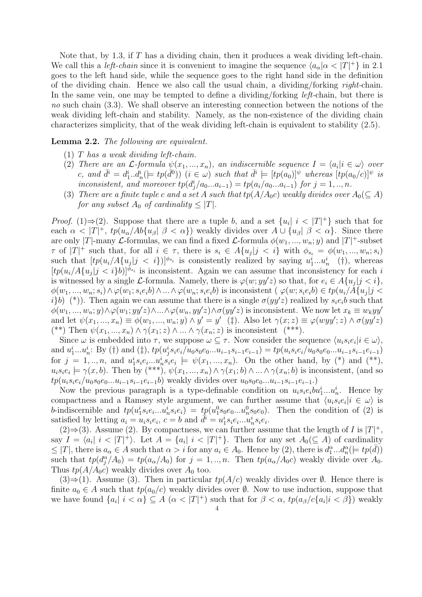Note that, by 1.3, if T has a dividing chain, then it produces a weak dividing left-chain. We call this a *left-chain* since it is convenient to imagine the sequence  $\langle a_{\alpha} | \alpha \langle |T|^{+} \rangle$  in 2.1 goes to the left hand side, while the sequence goes to the right hand side in the definition of the dividing chain. Hence we also call the usual chain, a dividing/forking right-chain. In the same vein, one may be tempted to define a dividing/forking *left*-chain, but there is no such chain (3.3). We shall observe an interesting connection between the notions of the weak dividing left-chain and stability. Namely, as the non-existence of the dividing chain characterizes simplicity, that of the weak dividing left-chain is equivalent to stability (2.5).

# Lemma 2.2. The following are equivalent.

- (1) T has a weak dividing left-chain.
- (2) There are an  $\mathcal{L}$ -formula  $\psi(x_1, ..., x_n)$ , an indiscernible sequence  $I = \langle a_i | i \in \omega \rangle$  over c, and  $\bar{d}^i = d_1^i \cdot \dot{d}_n^i \ (\models tp(\bar{d}^0)) \ (i \in \omega)$  such that  $\bar{d}^i \models [tp(a_0)]^{\psi}$  whereas  $[tp(a_0/c)]^{\psi}$  is inconsistent, and moreover  $tp(d_j^i/a_0...a_{i-1}) = tp(a_i/a_0...a_{i-1})$  for  $j = 1, ..., n$ .
- (3) There are a finite tuple c and a set A such that  $tp(A/A_0c)$  weakly divides over  $A_0(\subseteq A)$ for any subset  $A_0$  of cardinality  $\leq |T|$ .

*Proof.* (1)⇒(2). Suppose that there are a tuple b, and a set  $\{u_i | i < |T|^+\}$  such that for each  $\alpha < |T|^+$ ,  $tp(u_\alpha/Ab\{u_\beta \mid \beta < \alpha\})$  weakly divides over  $A \cup \{u_\beta \mid \beta < \alpha\}$ . Since there are only |T|-many L-formulas, we can find a fixed L-formula  $\phi(w_1, ..., w_n; y)$  and  $|T|$ <sup>+</sup>-subset  $\tau$  of  $|T|^+$  such that, for all  $i \in \tau$ , there is  $s_i \in A\{u_j | j \lt i\}$  with  $\phi_{s_i} = \phi(w_1, ..., w_n; s_i)$ such that  $[tp(u_i/A\{u_j|j \lt i\})]^{\phi_{s_i}}$  is consistently realized by saying  $u_1^i...u_n^i$  (†), whereas  $[tp(u_i/A\{u_j|j is inconsistent. Again we can assume that inconsistency for each i$ is witnessed by a single L-formula. Namely, there is  $\varphi(w; yy'z)$  so that, for  $e_i \in A\{u_j | j < i\},$  $\phi(w_1,...,w_n; s_i) \wedge \varphi(w_1; s_i e_i b) \wedge ... \wedge \varphi(w_n; s_i e_i b)$  is inconsistent ( $\varphi(w; s_i e_i b) \in tp(u_i / A[u_j | j \prec$ i}b) (\*)). Then again we can assume that there is a single  $\sigma(yy'z)$  realized by  $s_ie_i$  such that  $\phi(w_1, ..., w_n; y) \wedge \phi(w_1; yy'z) \wedge ... \wedge \phi(w_n, yy'z) \wedge \sigma(yy'z)$  is inconsistent. We now let  $x_k \equiv w_k yy'$ and let  $\psi(x_1, ..., x_n) \equiv \phi(w_1, ..., w_n; y) \wedge y' = y'$  (†). Also let  $\gamma(x; z) \equiv \varphi(wyy'; z) \wedge \sigma(yy'z)$ (\*\*) Then  $\psi(x_1, ..., x_n) \wedge \gamma(x_1; z) \wedge ... \wedge \gamma(x_n; z)$  is inconsistent (\*\*\*).

Since  $\omega$  is embedded into  $\tau$ , we suppose  $\omega \subseteq \tau$ . Now consider the sequence  $\langle u_i s_i e_i | i \in \omega \rangle$ , and  $u_1^i...u_n^i$ : By (†) and (‡),  $tp(u_j^is_ie_i/u_0s_0e_0...u_{i-1}s_{i-1}e_{i-1}) = tp(u_is_ie_i/u_0s_0e_0...u_{i-1}s_{i-1}e_{i-1})$ for  $j = 1, ..., n$ , and  $u_1^i s_i e_i ... u_n^i s_i e_i \models \psi(x_1, ..., x_n)$ . On the other hand, by (\*) and (\*\*),  $u_i s_i e_i \models \gamma(x, b)$ . Then by  $(*^{**}), \psi(x_1, ..., x_n) \wedge \gamma(x_1; b) \wedge ... \wedge \gamma(x_n; b)$  is inconsistent, (and so  $tp(u_i s_i e_i/u_0 s_0 e_0 ... u_{i-1} s_{i-1} e_{i-1} b)$  weakly divides over  $u_0 s_0 e_0 ... u_{i-1} s_{i-1} e_{i-1}$ .

Now the previous paragraph is a type-definable condition on  $u_i s_i e_i b u_1^i...u_n^i$ . Hence by compactness and a Ramsey style argument, we can further assume that  $\langle u_i s_i e_i | i \in \omega \rangle$  is b-indiscernible and  $tp(u_1^is_ie_i...u_n^is_ie_i) = tp(u_1^0s_0e_0...u_n^0s_0e_0)$ . Then the condition of (2) is satisfied by letting  $a_i = u_i s_i e_i$ ,  $c = b$  and  $\overline{d}^i = u_1^i s_i e_i ... u_n^i s_i e_i$ .

(2)  $\Rightarrow$  (3). Assume (2). By compactness, we can further assume that the length of *I* is |*T*|<sup>+</sup>, say  $I = \langle a_i | i \rangle |T|^+$ . Let  $A = \{a_i | i \rangle |T|^+$ . Then for any set  $A_0(\subseteq A)$  of cardinality  $\leq |T|$ , there is  $a_{\alpha} \in A$  such that  $\alpha > i$  for any  $a_i \in A_0$ . Hence by (2), there is  $d_1^{\alpha}...d_n^{\alpha} (= tp(\bar{d}))$ such that  $tp(d_j^{\alpha}/A_0) = tp(a_{\alpha}/A_0)$  for  $j = 1, ..., n$ . Then  $tp(a_{\alpha}/A_0c)$  weakly divide over  $A_0$ . Thus  $tp(A/A_0c)$  weakly divides over  $A_0$  too.

 $(3) \Rightarrow (1)$ . Assume (3). Then in particular  $tp(A/c)$  weakly divides over  $\emptyset$ . Hence there is finite  $a_0 \in A$  such that  $tp(a_0/c)$  weakly divides over  $\emptyset$ . Now to use induction, suppose that we have found  $\{a_i\mid i<\alpha\}\subseteq A$   $(\alpha<|T|^+)$  such that for  $\beta<\alpha$ ,  $tp(a_{\beta}/c\{a_i|i<\beta\})$  weakly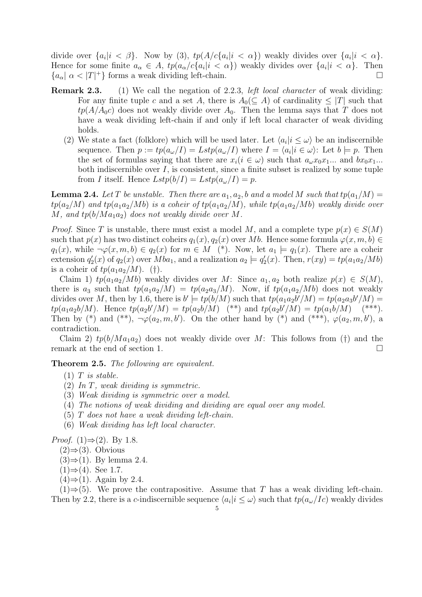divide over  $\{a_i|i\lt \beta\}$ . Now by (3),  $tp(A/c\{a_i|i\lt \alpha\})$  weakly divides over  $\{a_i|i\lt \alpha\}$ . Hence for some finite  $a_{\alpha} \in A$ ,  $tp(a_{\alpha}/c\{a_i|i < \alpha\})$  weakly divides over  $\{a_i|i < \alpha\}$ . Then  ${a_{\alpha} \mid \alpha < |T|^+}$  forms a weak dividing left-chain.

- Remark 2.3. (1) We call the negation of 2.2.3, *left local character* of weak dividing: For any finite tuple c and a set A, there is  $A_0(\subseteq A)$  of cardinality  $\leq |T|$  such that  $tp(A/A_0c)$  does not weakly divide over  $A_0$ . Then the lemma says that T does not have a weak dividing left-chain if and only if left local character of weak dividing holds.
	- (2) We state a fact (folklore) which will be used later. Let  $\langle a_i | i \leq \omega \rangle$  be an indiscernible sequence. Then  $p := tp(a_{\omega}/I) = Lstp(a_{\omega}/I)$  where  $I = \langle a_i | i \in \omega \rangle$ : Let  $b \models p$ . Then the set of formulas saying that there are  $x_i(i \in \omega)$  such that  $a_{\omega}x_0x_1...$  and  $bx_0x_1...$ both indiscernible over  $I$ , is consistent, since a finite subset is realized by some tuple from I itself. Hence  $Lstp(b/I) = Lstp(a_{\omega}/I) = p$ .

**Lemma 2.4.** Let T be unstable. Then there are  $a_1, a_2, b$  and a model M such that  $tp(a_1/M)$  =  $tp(a_2/M)$  and  $tp(a_1a_2/Mb)$  is a coheir of  $tp(a_1a_2/M)$ , while  $tp(a_1a_2/Mb)$  weakly divide over M, and  $tp(b/Ma_1a_2)$  does not weakly divide over M.

*Proof.* Since T is unstable, there must exist a model M, and a complete type  $p(x) \in S(M)$ such that  $p(x)$  has two distinct coheirs  $q_1(x)$ ,  $q_2(x)$  over Mb. Hence some formula  $\varphi(x, m, b) \in$  $q_1(x)$ , while  $\neg\varphi(x,m,b) \in q_2(x)$  for  $m \in M$  (\*). Now, let  $a_1 \models q_1(x)$ . There are a coheir extension  $q'_2(x)$  of  $q_2(x)$  over  $Mba_1$ , and a realization  $a_2 \models q'_2(x)$ . Then,  $r(xy) = tp(a_1a_2/Mb)$ is a coheir of  $tp(a_1a_2/M)$ . (†).

Claim 1)  $tp(a_1a_2/Mb)$  weakly divides over M: Since  $a_1, a_2$  both realize  $p(x) \in S(M)$ , there is  $a_3$  such that  $tp(a_1a_2/M) = tp(a_2a_3/M)$ . Now, if  $tp(a_1a_2/Mb)$  does not weakly divides over M, then by 1.6, there is  $b' \models tp(b/M)$  such that  $tp(a_1a_2b'/M) = tp(a_2a_3b'/M)$  $tp(a_1a_2b/M)$ . Hence  $tp(a_2b'/M) = tp(a_2b/M)$  (\*\*) and  $tp(a_2b'/M) = tp(a_1b/M)$  (\*\*\*). Then by (\*) and (\*\*),  $\neg\varphi(a_2, m, b')$ . On the other hand by (\*) and (\*\*\*),  $\varphi(a_2, m, b')$ , a contradiction.

Claim 2)  $tp(b/Ma_1a_2)$  does not weakly divide over M: This follows from (†) and the remark at the end of section 1.  $\Box$ 

Theorem 2.5. The following are equivalent.

- $(1)$  T is stable.
- (2) In T, weak dividing is symmetric.
- (3) Weak dividing is symmetric over a model.
- (4) The notions of weak dividing and dividing are equal over any model.
- (5) T does not have a weak dividing left-chain.
- (6) Weak dividing has left local character.

*Proof.* (1) $\Rightarrow$ (2). By 1.8.

- $(2)$ ⇒ $(3)$ . Obvious
- $(3) \Rightarrow (1)$ . By lemma 2.4.
- $(1) \Rightarrow (4)$ . See 1.7.
- $(4) \Rightarrow (1)$ . Again by 2.4.

 $(1) \Rightarrow (5)$ . We prove the contrapositive. Assume that T has a weak dividing left-chain. Then by 2.2, there is a c-indiscernible sequence  $\langle a_i | i \leq \omega \rangle$  such that  $tp(a_{\omega}/Ic)$  weakly divides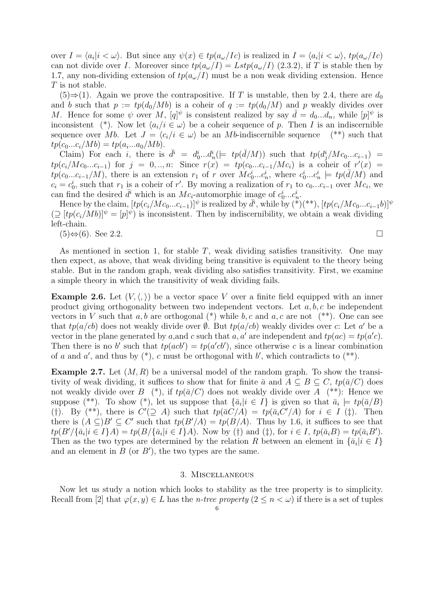over  $I = \langle a_i | i < \omega \rangle$ . But since any  $\psi(x) \in tp(a_{\omega}/I_c)$  is realized in  $I = \langle a_i | i < \omega \rangle$ ,  $tp(a_{\omega}/I_c)$ can not divide over I. Moreover since  $tp(a_{\omega}/I) = Lstp(a_{\omega}/I)$  (2.3.2), if T is stable then by 1.7, any non-dividing extension of  $tp(a_{\omega}/I)$  must be a non weak dividing extension. Hence T is not stable.

(5)⇒(1). Again we prove the contrapositive. If T is unstable, then by 2.4, there are  $d_0$ and b such that  $p := tp(d_0/Mb)$  is a coheir of  $q := tp(d_0/M)$  and p weakly divides over M. Hence for some  $\psi$  over M,  $[q]^\psi$  is consistent realized by say  $\bar{d} = d_0...d_n$ , while  $[p]^\psi$  is inconsistent (\*). Now let  $\langle a_i/i \in \omega \rangle$  be a coheir sequence of p. Then I is an indiscernible sequence over Mb. Let  $J = \langle c_i/i \in \omega \rangle$  be an Mb-indiscernible sequence (\*\*) such that  $tp(c_0...c_i/Mb) = tp(a_i...a_0/Mb).$ 

Claim) For each i, there is  $\bar{d}^i = d_0^i...d_n^i \left(= t p(\bar{d}/M) \right)$  such that  $tp(d_j^i/Mc_0...c_{i-1})$  $tp(c_i/Mc_0...c_{i-1})$  for  $j = 0,...,n$ : Since  $r(x) = tp(c_0...c_{i-1}/Mc_i)$  is a coheir of  $r'(x) =$  $tp(c_0...c_{i-1}/M)$ , there is an extension  $r_1$  of r over  $Mc_0^i...c_n^i$ , where  $c_0^i...c_n^i$   $\models tp(\bar{d}/M)$  and  $c_i = c_0^i$ , such that  $r_1$  is a coheir of r'. By moving a realization of  $r_1$  to  $c_0...c_{i-1}$  over  $Mc_i$ , we can find the desired  $\bar{d}^i$  which is an  $Mc_i$ -automorphic image of  $c_0^i...c_n^i$ .

Hence by the claim,  $[tp(c_i/Mc_0...c_{i-1})]^{\psi}$  is realized by  $\bar{d}^i$ , while by  $\binom{x}{i}$  (\*\*),  $[tp(c_i/Mc_0...c_{i-1}b)]^{\psi}$  $(\supseteq [tp(c_i/Mb)]^{\psi} = [p]^{\psi}$  is inconsistent. Then by indiscernibility, we obtain a weak dividing left-chain.

 $(5) \Leftrightarrow (6)$ . See 2.2.

$$
\qquad \qquad \Box
$$

As mentioned in section 1, for stable  $T$ , weak dividing satisfies transitivity. One may then expect, as above, that weak dividing being transitive is equivalent to the theory being stable. But in the random graph, weak dividing also satisfies transitivity. First, we examine a simple theory in which the transitivity of weak dividing fails.

**Example 2.6.** Let  $(V, \langle, \rangle)$  be a vector space V over a finite field equipped with an inner product giving orthogonality between two independent vectors. Let  $a, b, c$  be independent vectors in V such that a, b are orthogonal  $(*)$  while b, c and a, c are not  $(**)$ . One can see that  $tp(a/cb)$  does not weakly divide over  $\emptyset$ . But  $tp(a/cb)$  weakly divides over c: Let a' be a vector in the plane generated by a, and c such that a, a' are independent and  $tp(ac) = tp(a'c)$ . Then there is no b' such that  $tp(acb') = tp(a'cb')$ , since otherwise c is a linear combination of a and a', and thus by  $(*)$ , c must be orthogonal with b', which contradicts to  $(*^*)$ .

**Example 2.7.** Let  $(M, R)$  be a universal model of the random graph. To show the transitivity of weak dividing, it suffices to show that for finite  $\bar{a}$  and  $A \subseteq B \subseteq C$ ,  $tp(\bar{a}/C)$  does not weakly divide over B  $(*)$ , if  $tp(\bar{a}/C)$  does not weakly divide over A  $(**)$ : Hence we suppose (\*\*). To show (\*), let us suppose that  $\{\bar{a}_i | i \in I\}$  is given so that  $\bar{a}_i \models tp(\bar{a}/B)$ (†). By (\*\*), there is  $C'(\supseteq A)$  such that  $tp(\bar{a}C/A) = tp(\bar{a}_i C'/A)$  for  $i \in I(\ddagger)$ . Then there is  $(A \subseteq)B' \subseteq C'$  such that  $tp(B'/A) = tp(B/A)$ . Thus by 1.6, it suffices to see that  $tp(B'/\{\bar{a}_i|i\in I\}A) = tp(B/\{\bar{a}_i|i\in I\}A)$ . Now by (†) and (‡), for  $i \in I$ ,  $tp(\bar{a}_iB) = tp(\bar{a}_iB')$ . Then as the two types are determined by the relation R between an element in  $\{\bar{a}_i | i \in I\}$ and an element in  $B$  (or  $B'$ ), the two types are the same.

#### 3. Miscellaneous

Now let us study a notion which looks to stability as the tree property is to simplicity. Recall from [2] that  $\varphi(x, y) \in L$  has the *n-tree property*  $(2 \leq n \leq \omega)$  if there is a set of tuples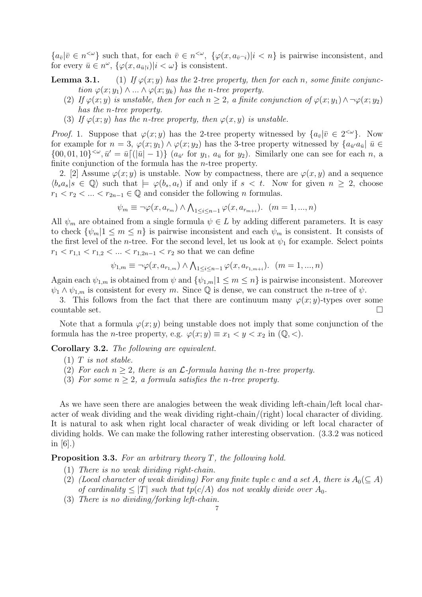${a_{\bar{v}}|\bar{v} \in n^{\leq \omega}}$  such that, for each  $\bar{v} \in n^{\leq \omega}$ ,  ${\varphi(x, a_{\bar{v}})}|i \lt n$  is pairwise inconsistent, and for every  $\bar{u} \in n^{\omega}$ ,  $\{\varphi(x, a_{\bar{u}|i}) | i < \omega\}$  is consistent.

**Lemma 3.1.** (1) If  $\varphi(x; y)$  has the 2-tree property, then for each n, some finite conjunction  $\varphi(x; y_1) \wedge ... \wedge \varphi(x; y_k)$  has the n-tree property.

- (2) If  $\varphi(x; y)$  is unstable, then for each  $n \geq 2$ , a finite conjunction of  $\varphi(x; y_1) \wedge \neg \varphi(x; y_2)$ has the n-tree property.
- (3) If  $\varphi(x; y)$  has the n-tree property, then  $\varphi(x, y)$  is unstable.

*Proof.* 1. Suppose that  $\varphi(x; y)$  has the 2-tree property witnessed by  $\{a_{\bar{v}} | \bar{v} \in 2^{<\omega}\}\$ . Now for example for  $n=3$ ,  $\varphi(x; y_1) \wedge \varphi(x; y_2)$  has the 3-tree property witnessed by  $\{a_{\bar{u}}/a_{\bar{u}} | \bar{u} \in$  $\{00, 01, 10\}^{\lt}\omega, \bar{u}' = \bar{u}\left[\left(|\bar{u}| - 1\right)\right]$   $(a_{\bar{u}'} \text{ for } y_1, a_{\bar{u}} \text{ for } y_2)$ . Similarly one can see for each n, a finite conjunction of the formula has the n-tree property.

2. [2] Assume  $\varphi(x; y)$  is unstable. Now by compactness, there are  $\varphi(x, y)$  and a sequence  $\langle b_s a_s | s \in \mathbb{Q} \rangle$  such that  $\models \varphi(b_s, a_t)$  if and only if  $s < t$ . Now for given  $n \geq 2$ , choose  $r_1 < r_2 < \ldots < r_{2n-1} \in \mathbb{Q}$  and consider the following *n* formulas.

$$
\psi_m \equiv \neg \varphi(x, a_{r_m}) \land \bigwedge_{1 \leq i \leq n-1} \varphi(x, a_{r_{m+i}}). \quad (m = 1, ..., n)
$$

All  $\psi_m$  are obtained from a single formula  $\psi \in L$  by adding different parameters. It is easy to check  $\{\psi_m | 1 \leq m \leq n\}$  is pairwise inconsistent and each  $\psi_m$  is consistent. It consists of the first level of the *n*-tree. For the second level, let us look at  $\psi_1$  for example. Select points  $r_1 < r_{1,1} < r_{1,2} < \ldots < r_{1,2n-1} < r_2$  so that we can define

$$
\psi_{1,m} \equiv \neg \varphi(x, a_{r_{1,m}}) \land \bigwedge_{1 \leq i \leq n-1} \varphi(x, a_{r_{1,m+i}}). \quad (m = 1, ..., n)
$$

Again each  $\psi_{1,m}$  is obtained from  $\psi$  and  $\{\psi_{1,m}|1 \leq m \leq n\}$  is pairwise inconsistent. Moreover  $\psi_1 \wedge \psi_{1,m}$  is consistent for every m. Since Q is dense, we can construct the n-tree of  $\psi$ .

3. This follows from the fact that there are continuum many  $\varphi(x; y)$ -types over some countable set.  $\Box$ 

Note that a formula  $\varphi(x; y)$  being unstable does not imply that some conjunction of the formula has the *n*-tree property, e.g.  $\varphi(x; y) \equiv x_1 < y < x_2$  in  $(\mathbb{Q}, \leq).$ 

Corollary 3.2. The following are equivalent.

- (2) For each  $n > 2$ , there is an *L*-formula having the *n*-tree property.
- (3) For some  $n > 2$ , a formula satisfies the *n*-tree property.

As we have seen there are analogies between the weak dividing left-chain/left local character of weak dividing and the weak dividing right-chain/(right) local character of dividing. It is natural to ask when right local character of weak dividing or left local character of dividing holds. We can make the following rather interesting observation. (3.3.2 was noticed in  $|6|$ .)

**Proposition 3.3.** For an arbitrary theory  $T$ , the following hold.

- (1) There is no weak dividing right-chain.
- (2) (Local character of weak dividing) For any finite tuple c and a set A, there is  $A_0(\subseteq A)$ of cardinality  $\leq |T|$  such that  $tp(c/A)$  dos not weakly divide over  $A_0$ .
- (3) There is no dividing/forking left-chain.

 $(1)$  T is not stable.